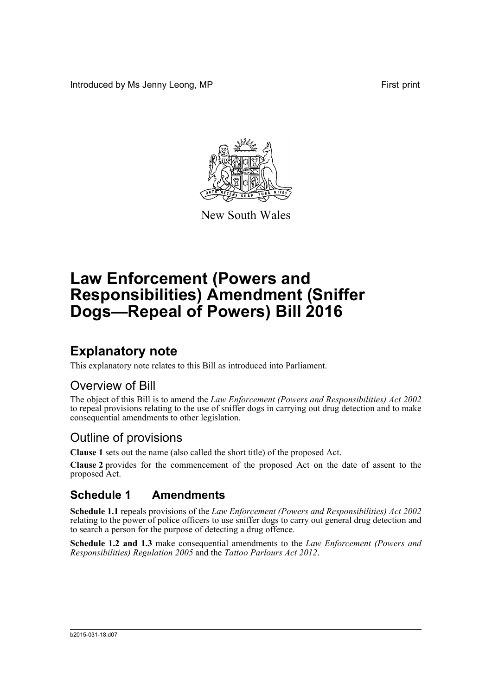Introduced by Ms Jenny Leong, MP First print



New South Wales

# **Law Enforcement (Powers and Responsibilities) Amendment (Sniffer Dogs—Repeal of Powers) Bill 2016**

## **Explanatory note**

This explanatory note relates to this Bill as introduced into Parliament.

### Overview of Bill

The object of this Bill is to amend the *Law Enforcement (Powers and Responsibilities) Act 2002* to repeal provisions relating to the use of sniffer dogs in carrying out drug detection and to make consequential amendments to other legislation.

### Outline of provisions

**Clause 1** sets out the name (also called the short title) of the proposed Act.

**Clause 2** provides for the commencement of the proposed Act on the date of assent to the proposed Act.

#### **Schedule 1 Amendments**

**Schedule 1.1** repeals provisions of the *Law Enforcement (Powers and Responsibilities) Act 2002* relating to the power of police officers to use sniffer dogs to carry out general drug detection and to search a person for the purpose of detecting a drug offence.

**Schedule 1.2 and 1.3** make consequential amendments to the *Law Enforcement (Powers and Responsibilities) Regulation 2005* and the *Tattoo Parlours Act 2012*.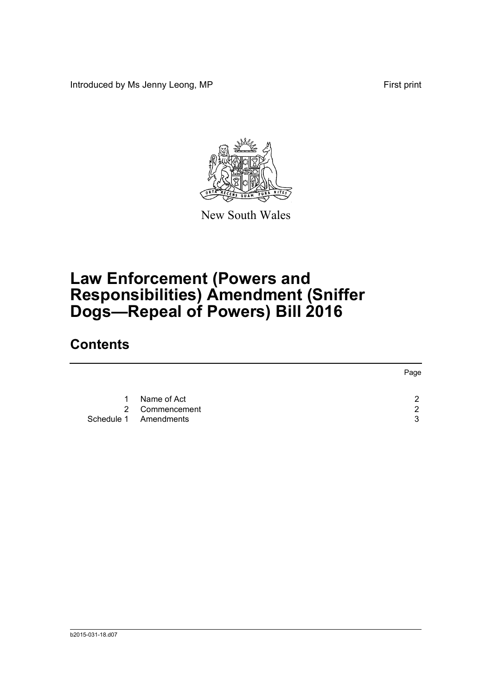Introduced by Ms Jenny Leong, MP First print



New South Wales

## **Law Enforcement (Powers and Responsibilities) Amendment (Sniffer Dogs—Repeal of Powers) Bill 2016**

### **Contents**

|           |                                                        | Page   |
|-----------|--------------------------------------------------------|--------|
| $1 \quad$ | Name of Act<br>2 Commencement<br>Schedule 1 Amendments | ົ<br>ર |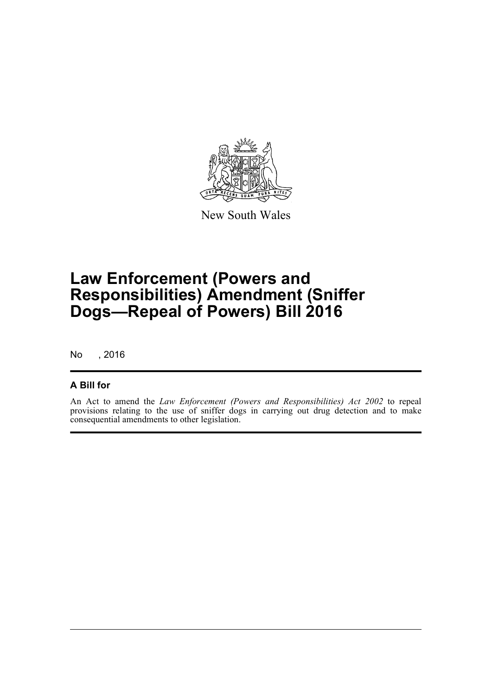

New South Wales

## **Law Enforcement (Powers and Responsibilities) Amendment (Sniffer Dogs—Repeal of Powers) Bill 2016**

No , 2016

#### **A Bill for**

An Act to amend the *Law Enforcement (Powers and Responsibilities) Act 2002* to repeal provisions relating to the use of sniffer dogs in carrying out drug detection and to make consequential amendments to other legislation.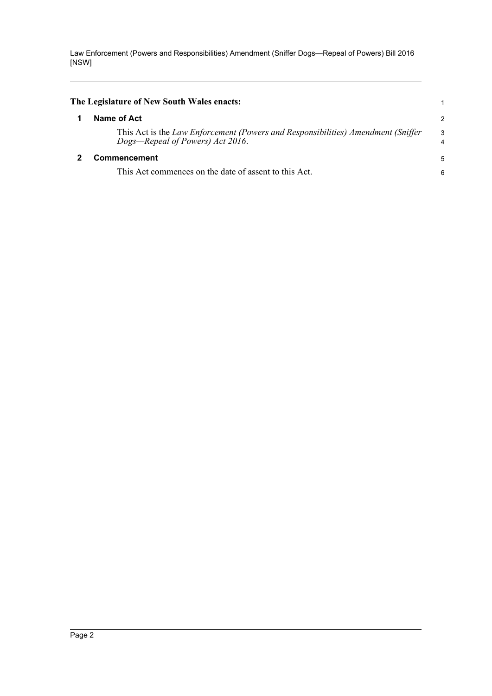Law Enforcement (Powers and Responsibilities) Amendment (Sniffer Dogs—Repeal of Powers) Bill 2016 [NSW]

<span id="page-3-1"></span><span id="page-3-0"></span>

| The Legislature of New South Wales enacts:                                                                           |                |
|----------------------------------------------------------------------------------------------------------------------|----------------|
| Name of Act                                                                                                          | $\overline{c}$ |
| This Act is the Law Enforcement (Powers and Responsibilities) Amendment (Sniffer<br>Dogs—Repeal of Powers) Act 2016. | 3<br>4         |
| Commencement<br>This Act commences on the date of assent to this Act.                                                | 5<br>6         |
|                                                                                                                      |                |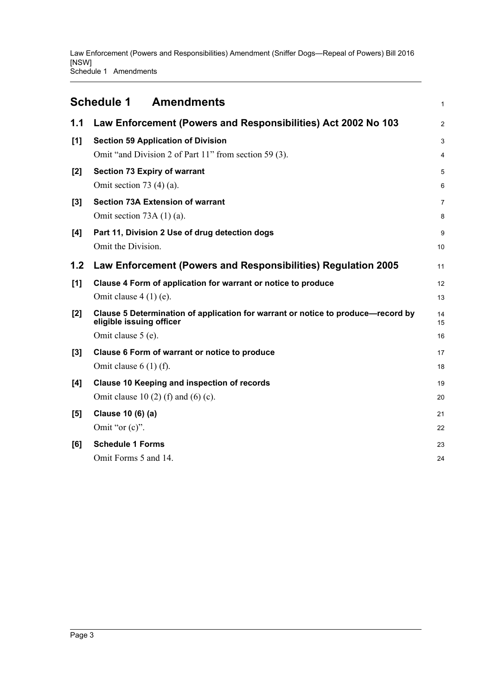<span id="page-4-0"></span>

| <b>Amendments</b><br><b>Schedule 1</b> |                                                                                                                                    |                     |
|----------------------------------------|------------------------------------------------------------------------------------------------------------------------------------|---------------------|
| 1.1                                    | Law Enforcement (Powers and Responsibilities) Act 2002 No 103                                                                      | $\overline{2}$      |
| [1]                                    | <b>Section 59 Application of Division</b>                                                                                          | 3                   |
| [2]                                    | Omit "and Division 2 of Part 11" from section 59 (3).<br><b>Section 73 Expiry of warrant</b><br>Omit section 73 $(4)(a)$ .         | 4<br>5<br>6         |
| [3]                                    | <b>Section 73A Extension of warrant</b><br>Omit section 73A $(1)$ (a).                                                             | $\overline{7}$<br>8 |
| [4]                                    | Part 11, Division 2 Use of drug detection dogs<br>Omit the Division.                                                               | 9<br>10             |
| 1.2                                    | Law Enforcement (Powers and Responsibilities) Regulation 2005                                                                      | 11                  |
| [1]                                    | Clause 4 Form of application for warrant or notice to produce<br>Omit clause $4(1)$ (e).                                           | 12<br>13            |
| [2]                                    | Clause 5 Determination of application for warrant or notice to produce-record by<br>eligible issuing officer<br>Omit clause 5 (e). | 14<br>15<br>16      |
| [3]                                    | Clause 6 Form of warrant or notice to produce<br>Omit clause $6(1)$ (f).                                                           | 17<br>18            |
| [4]                                    | Clause 10 Keeping and inspection of records<br>Omit clause 10 (2) (f) and (6) (c).                                                 | 19<br>20            |
| [5]                                    | Clause 10 (6) (a)<br>Omit "or $(c)$ ".                                                                                             | 21<br>22            |
| [6]                                    | <b>Schedule 1 Forms</b><br>Omit Forms 5 and 14.                                                                                    | 23<br>24            |